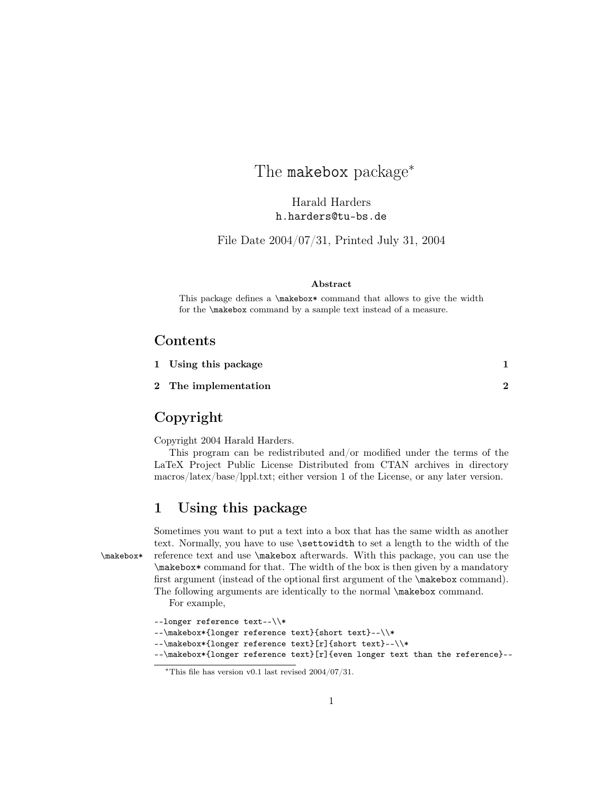# The makebox package<sup>∗</sup>

Harald Harders h.harders@tu-bs.de

File Date 2004/07/31, Printed July 31, 2004

#### Abstract

This package defines a \makebox\* command that allows to give the width for the \makebox command by a sample text instead of a measure.

#### Contents

| 1 Using this package |  |
|----------------------|--|
| 2 The implementation |  |

## Copyright

Copyright 2004 Harald Harders.

This program can be redistributed and/or modified under the terms of the LaTeX Project Public License Distributed from CTAN archives in directory macros/latex/base/lppl.txt; either version 1 of the License, or any later version.

### 1 Using this package

Sometimes you want to put a text into a box that has the same width as another text. Normally, you have to use \settowidth to set a length to the width of the \makebox\* reference text and use \makebox afterwards. With this package, you can use the \makebox\* command for that. The width of the box is then given by a mandatory first argument (instead of the optional first argument of the \makebox command). The following arguments are identically to the normal \makebox command. For example,

|  | --longer reference text--\\* |  |  |  |
|--|------------------------------|--|--|--|
|--|------------------------------|--|--|--|

--\makebox\*{longer reference text}{short text}--\\\*

--\makebox\*{longer reference text}[r]{short text}--\\\*

--\makebox\*{longer reference text}[r]{even longer text than the reference}--

<sup>∗</sup>This file has version v0.1 last revised 2004/07/31.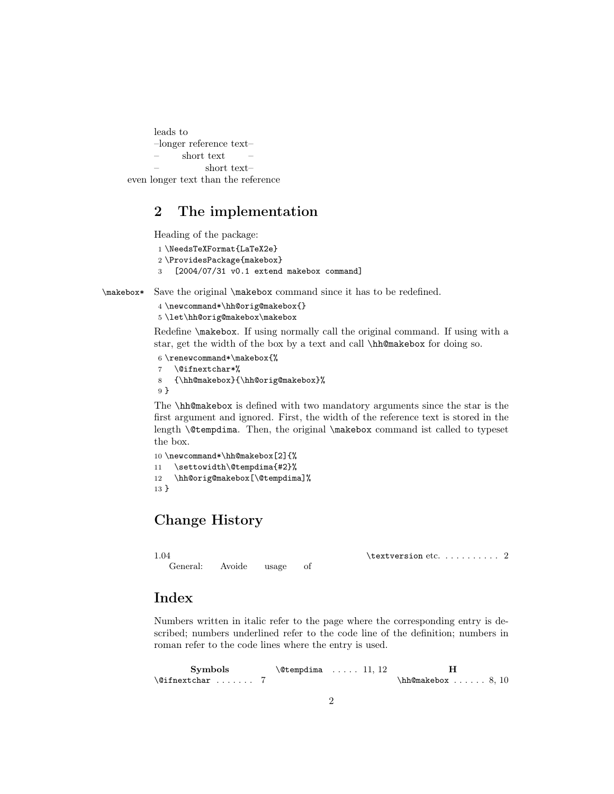```
leads to
      –longer reference text–
      – short text –
                  – short text–
even longer text than the reference
```
## 2 The implementation

Heading of the package:

```
1 \NeedsTeXFormat{LaTeX2e}
2 \ProvidesPackage{makebox}
3 [2004/07/31 v0.1 extend makebox command]
```
\makebox\* Save the original \makebox command since it has to be redefined.

4 \newcommand\*\hh@orig@makebox{} 5 \let\hh@orig@makebox\makebox

Redefine \makebox. If using normally call the original command. If using with a star, get the width of the box by a text and call \hh@makebox for doing so.

```
6 \renewcommand*\makebox{%
7 \@ifnextchar*%
8 {\hh@makebox}{\hh@orig@makebox}%
9 }
```
The \hh@makebox is defined with two mandatory arguments since the star is the first argument and ignored. First, the width of the reference text is stored in the length \@tempdima. Then, the original \makebox command ist called to typeset the box.

```
10 \newcommand*\hh@makebox[2]{%
11 \settowidth\@tempdima{#2}%
12 \hh@orig@makebox[\@tempdima]%
13 }
```
General: Avoide usage of

# Change History

1.04

\textversion etc. . . . . . . . . . 2

#### Index

Numbers written in italic refer to the page where the corresponding entry is described; numbers underlined refer to the code line of the definition; numbers in roman refer to the code lines where the entry is used.

| <b>Symbols</b>           |  | $\text{\&tempdim} \dots 11, 12$ |                         |  |
|--------------------------|--|---------------------------------|-------------------------|--|
| $\Diamond$ ifnextchar  7 |  |                                 | $\hbar$ @makebox  8, 10 |  |